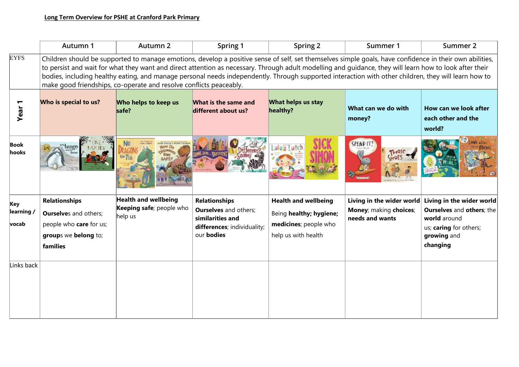|                            | Autumn 1                                                                                                                                                                                                                                                                                                                                                                                                                                                                                                                                         | <b>Autumn 2</b>                                             | Spring 1                                                                                                                     | Spring 2                                                                                               | Summer 1                                                               | Summer 2                                                                                                                           |  |
|----------------------------|--------------------------------------------------------------------------------------------------------------------------------------------------------------------------------------------------------------------------------------------------------------------------------------------------------------------------------------------------------------------------------------------------------------------------------------------------------------------------------------------------------------------------------------------------|-------------------------------------------------------------|------------------------------------------------------------------------------------------------------------------------------|--------------------------------------------------------------------------------------------------------|------------------------------------------------------------------------|------------------------------------------------------------------------------------------------------------------------------------|--|
| <b>EYFS</b>                | Children should be supported to manage emotions, develop a positive sense of self, set themselves simple goals, have confidence in their own abilities,<br>to persist and wait for what they want and direct attention as necessary. Through adult modelling and guidance, they will learn how to look after their<br>bodies, including healthy eating, and manage personal needs independently. Through supported interaction with other children, they will learn how to<br>make good friendships, co-operate and resolve conflicts peaceably. |                                                             |                                                                                                                              |                                                                                                        |                                                                        |                                                                                                                                    |  |
| Year                       | Who is special to us?                                                                                                                                                                                                                                                                                                                                                                                                                                                                                                                            | Who helps to keep us<br>safe?                               | What is the same and<br>different about us?                                                                                  | What helps us stay<br>healthy?                                                                         | What can we do with<br>money?                                          | How can we look after<br>each other and the<br>world?                                                                              |  |
| <b>Book</b><br>hooks       |                                                                                                                                                                                                                                                                                                                                                                                                                                                                                                                                                  | <b>TITLES &amp; MARK TRAIN</b>                              |                                                                                                                              | $ulus$ un                                                                                              | SPEND IT                                                               |                                                                                                                                    |  |
| Key<br>learning /<br>vocab | <b>Relationships</b><br><b>Ourselves and others;</b><br>people who care for us;<br>groups we belong to;<br>families                                                                                                                                                                                                                                                                                                                                                                                                                              | Health and wellbeing<br>Keeping safe; people who<br>help us | <b>Relationships</b><br><b>Ourselves</b> and others;<br>similarities and<br>differences; individuality;<br>our <b>bodies</b> | <b>Health and wellbeing</b><br>Being healthy; hygiene;<br>medicines; people who<br>help us with health | Living in the wider world<br>Money; making choices;<br>needs and wants | Living in the wider world<br><b>Ourselves and others; the</b><br>world around<br>us; caring for others;<br>growing and<br>changing |  |
| Links back                 |                                                                                                                                                                                                                                                                                                                                                                                                                                                                                                                                                  |                                                             |                                                                                                                              |                                                                                                        |                                                                        |                                                                                                                                    |  |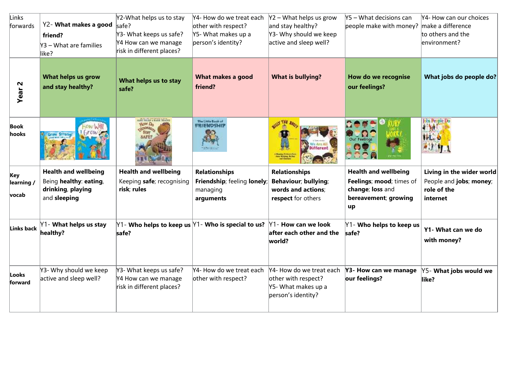| Links<br>forwards          | Y2- What makes a good<br>friend?<br>Y3 - What are families<br>like?                        | Y2-What helps us to stay<br>safe?<br>Y3- What keeps us safe?<br>Y4 How can we manage<br>risk in different places? | Y4- How do we treat each<br>other with respect?<br>Y5- What makes up a<br>person's identity? | $Y2 - What$ helps us grow<br>and stay healthy?<br>Y3- Why should we keep<br>active and sleep well? | $Y5 - What$ decisions can<br>people make with money? make a difference                                    | Y4- How can our choices<br>to others and the<br>environment?                    |
|----------------------------|--------------------------------------------------------------------------------------------|-------------------------------------------------------------------------------------------------------------------|----------------------------------------------------------------------------------------------|----------------------------------------------------------------------------------------------------|-----------------------------------------------------------------------------------------------------------|---------------------------------------------------------------------------------|
| Year <sub>2</sub>          | What helps us grow<br>and stay healthy?                                                    | What helps us to stay<br>safe?                                                                                    | What makes a good<br>friend?                                                                 | <b>What is bullying?</b>                                                                           | How do we recognise<br>our feelings?                                                                      | What jobs do people do?                                                         |
| Book<br>hooks              | <b>Grow Strong!</b>                                                                        | ARE TOLEN & HARR TENEUT<br><b>YOW Do</b>                                                                          | The Links Book of<br>FRIENDSHIP                                                              | <b>AILY THE</b>                                                                                    |                                                                                                           | Jobs People Do<br>4.10<br>THE O                                                 |
| Key<br>learning /<br>vocab | <b>Health and wellbeing</b><br>Being healthy: eating,<br>drinking, playing<br>and sleeping | <b>Health and wellbeing</b><br>Keeping safe; recognising<br>risk; rules                                           | <b>Relationships</b><br>Friendship; feeling lonely;<br>managing<br>arguments                 | <b>Relationships</b><br>Behaviour; bullying;<br>words and actions;<br>respect for others           | <b>Health and wellbeing</b><br>Feelings; mood; times of<br>change; loss and<br>bereavement; growing<br>up | Living in the wider world<br>People and jobs; money;<br>role of the<br>internet |
| Links back                 | Y1- What helps us stay<br>healthy?                                                         | $\text{Y1}$ - Who helps to keep us $\text{Y1}$ - Who is special to us?<br>safe?                                   |                                                                                              | $Y1$ - How can we look<br>after each other and the<br>world?                                       | Y1- Who helps to keep us<br>safe?                                                                         | Y1- What can we do<br>with money?                                               |
| Looks<br>forward           | Y3- Why should we keep<br>active and sleep well?                                           | Y3- What keeps us safe?<br>Y4 How can we manage<br>risk in different places?                                      | Y4- How do we treat each<br>other with respect?                                              | Y4- How do we treat each<br>other with respect?<br>Y5- What makes up a<br>person's identity?       | Y3- How can we manage<br>our feelings?                                                                    | Y5- What jobs would we<br>like?                                                 |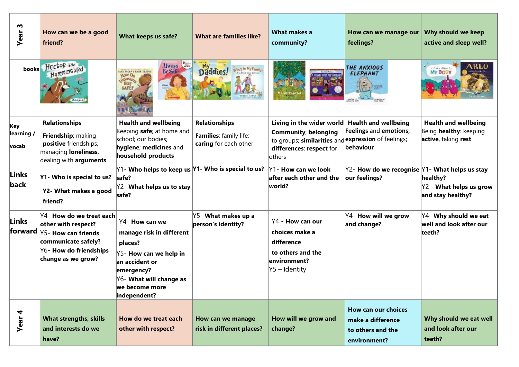| m<br>Year                  | How can we be a good<br>friend?                                                                                                               | What keeps us safe?                                                                                                                                                          | <b>What are families like?</b>                                          | What makes a<br>community?                                                                                                                            | How can we manage our<br>feelings?                                                   | Why should we keep<br>active and sleep well?                                 |
|----------------------------|-----------------------------------------------------------------------------------------------------------------------------------------------|------------------------------------------------------------------------------------------------------------------------------------------------------------------------------|-------------------------------------------------------------------------|-------------------------------------------------------------------------------------------------------------------------------------------------------|--------------------------------------------------------------------------------------|------------------------------------------------------------------------------|
| books                      | HectoR and<br>Humminchild                                                                                                                     | Always<br>ARE TOLEN & HARK TENEUT<br><b>YLOW DO</b><br>choosay.<br><b>Staw</b><br><b>SAFET</b>                                                                               | Daddies!                                                                |                                                                                                                                                       | THE ANXIOUS<br><b>ELEPHANT</b>                                                       | My BOD                                                                       |
| Key<br>learning /<br>vocab | <b>Relationships</b><br>Friendship; making<br>positive friendships,<br>managing loneliness,<br>dealing with arguments                         | <b>Health and wellbeing</b><br>Keeping safe; at home and<br>school; our bodies;<br>hygiene; medicines and<br>household products                                              | <b>Relationships</b><br>Families; family life;<br>caring for each other | Living in the wider world<br><b>Community; belonging</b><br>to groups; similarities and expression of feelings;<br>differences; respect for<br>others | <b>Health and wellbeing</b><br>Feelings and emotions;<br>behaviour                   | <b>Health and wellbeing</b><br>Being healthy: keeping<br>active, taking rest |
| <b>Links</b><br>back       | Y1- Who is special to us?<br>Y2- What makes a good<br>friend?                                                                                 | $ Y1$ - Who helps to keep us $ Y1$ - Who is special to us?<br>safe?<br>Y2- What helps us to stay<br>safe?                                                                    |                                                                         | Y1- How can we look<br>after each other and the<br>world?                                                                                             | $ Y2$ - How do we recognise $ Y1$ - What helps us stay<br>our feelings?              | healthy?<br>$Y2$ - What helps us grow<br>and stay healthy?                   |
| Links<br>forward           | Y4- How do we treat each<br>other with respect?<br>Y5- How can friends<br>communicate safely?<br>Y6- How do friendships<br>change as we grow? | Y4- How can we<br>manage risk in different<br>places?<br>Y5- How can we help in<br>an accident or<br>emergency?<br>Y6- What will change as<br>we become more<br>independent? | Y5- What makes up a<br>person's identity?                               | Y4 - How can our<br>choices make a<br>difference<br>to others and the<br>environment?<br>Y5 – Identity                                                | $\gamma$ 4- How will we grow<br>and change?                                          | Y4- Why should we eat<br>well and look after our<br>teeth?                   |
| Year 4                     | <b>What strengths, skills</b><br>and interests do we<br>have?                                                                                 | How do we treat each<br>other with respect?                                                                                                                                  | How can we manage<br>risk in different places?                          | How will we grow and<br>change?                                                                                                                       | <b>How can our choices</b><br>make a difference<br>to others and the<br>environment? | Why should we eat well<br>and look after our<br>teeth?                       |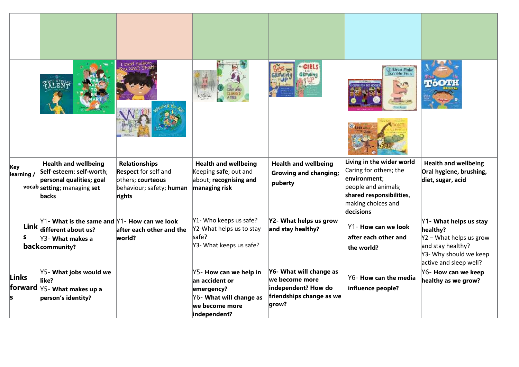|                   |                                                                                                                                                      | I Can't Pelieve<br>u sain That                                                                                 |                                                                                                                     | <b>GIRL</b>                                                                                           | Children Malee<br>Terrible Pets                                                                                                                           |                                                                                                                                          |
|-------------------|------------------------------------------------------------------------------------------------------------------------------------------------------|----------------------------------------------------------------------------------------------------------------|---------------------------------------------------------------------------------------------------------------------|-------------------------------------------------------------------------------------------------------|-----------------------------------------------------------------------------------------------------------------------------------------------------------|------------------------------------------------------------------------------------------------------------------------------------------|
| Key<br>learning / | <b>Health and wellbeing</b><br>Self-esteem: self-worth;<br>personal qualities; goal<br>vocab setting; managing set<br><b>backs</b>                   | <b>Relationships</b><br><b>Respect</b> for self and<br>others; courteous<br>behaviour; safety; human<br>rights | <b>Health and wellbeing</b><br>Keeping safe; out and<br>about; recognising and<br>managing risk                     | <b>Health and wellbeing</b><br><b>Growing and changing;</b><br>puberty                                | Living in the wider world<br>Caring for others; the<br>environment;<br>people and animals;<br>shared responsibilities,<br>making choices and<br>decisions | <b>Health and wellbeing</b><br>Oral hygiene, brushing,<br>diet, sugar, acid                                                              |
|                   | $\text{Y1}$ - What is the same and $\text{Y1}$ - How can we look<br>Link $\left  \right $ different about us?<br>Y3- What makes a<br>back community? | $ $ after each other and the $ $<br>world?                                                                     | Y1- Who keeps us safe?<br>Y2-What helps us to stay<br>safe?<br>Y3- What keeps us safe?                              | Y2- What helps us grow<br>and stay healthy?                                                           | Y1- How can we look<br>after each other and<br>the world?                                                                                                 | Y1- What helps us stay<br>healthy?<br>$Y2 - What$ helps us grow<br>and stay healthy?<br>Y3- Why should we keep<br>active and sleep well? |
| Links<br>forward  | Y5- What jobs would we<br>like?<br>Y5- What makes up a<br>person's identity?                                                                         |                                                                                                                | Y5- How can we help in<br>an accident or<br>emergency?<br>Y6- What will change as<br>we become more<br>independent? | Y6- What will change as<br>we become more<br>independent? How do<br>friendships change as we<br>grow? | Y6- How can the media<br>influence people?                                                                                                                | Y6- How can we keep<br>healthy as we grow?                                                                                               |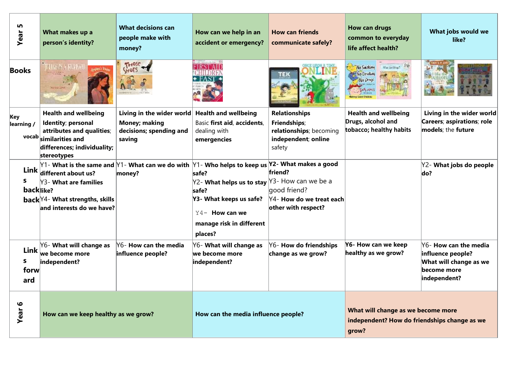| m<br>Year         | What makes up a<br>person's identity?                                                                                                                  | <b>What decisions can</b><br>people make with<br>money?                                                                                                                                                               | How can we help in an<br>accident or emergency?                                                                                                                      | <b>How can friends</b><br>communicate safely?                                                    | How can drugs<br>common to everyday<br>life affect health?                                  | What jobs would we<br>like?                                                                         |
|-------------------|--------------------------------------------------------------------------------------------------------------------------------------------------------|-----------------------------------------------------------------------------------------------------------------------------------------------------------------------------------------------------------------------|----------------------------------------------------------------------------------------------------------------------------------------------------------------------|--------------------------------------------------------------------------------------------------|---------------------------------------------------------------------------------------------|-----------------------------------------------------------------------------------------------------|
| <b>Books</b>      | <b>THE ASSISTENT</b>                                                                                                                                   | THOSE                                                                                                                                                                                                                 | <b>CAF BRANCHATER BY</b>                                                                                                                                             | тек                                                                                              | No Sawking<br>War Arctives"<br>No Draking<br>No Drayi                                       |                                                                                                     |
| Key<br>learning / | <b>Health and wellbeing</b><br>Identity; personal<br>attributes and qualities;<br>vocab similarities and<br>differences; individuality;<br>stereotypes | Living in the wider world Health and wellbeing<br><b>Money; making</b><br>decisions; spending and<br>saving                                                                                                           | Basic first aid, accidents,<br>dealing with<br>emergencies                                                                                                           | <b>Relationships</b><br>Friendships;<br>relationships; becoming<br>independent; online<br>safety | <b>Health and wellbeing</b><br>Drugs, alcohol and<br>tobacco; healthy habits                | Living in the wider world<br>Careers; aspirations; role<br>models; the future                       |
| s.<br>backlike?   | Link $ $ different about us?<br>Y3- What are families<br>back Y4- What strengths, skills<br>and interests do we have?                                  | $\operatorname{\mathsf{Y1}}$ - What is the same and $\operatorname{\mathsf{Y1}}$ - What can we do with $\operatorname{\mathsf{Y1}}$ - Who helps to keep us $\operatorname{\mathsf{Y2}}$ - What makes a good<br>money? | safe?<br>$ $ Y2- <b>What helps us to stay</b> $ $ Y3- How can we be a<br>safe?<br>Y3- What keeps us safe?<br>$Y4-$ How can we<br>manage risk in different<br>places? | friend?<br>good friend?<br>Y4- How do we treat each<br>other with respect?                       |                                                                                             | Y2- What jobs do people<br>do?                                                                      |
| S.<br>forw<br>ard | Y6- What will change as<br>Link $\vert_{\text{we become more}}$<br>independent?                                                                        | Y6- How can the media<br>influence people?                                                                                                                                                                            | Y6- What will change as<br>we become more<br>independent?                                                                                                            | Y6- How do friendships<br>change as we grow?                                                     | Y6- How can we keep<br>healthy as we grow?                                                  | Y6- How can the media<br>influence people?<br>What will change as we<br>become more<br>independent? |
| <b>Year 6</b>     | How can we keep healthy as we grow?                                                                                                                    |                                                                                                                                                                                                                       | How can the media influence people?                                                                                                                                  |                                                                                                  | What will change as we become more<br>independent? How do friendships change as we<br>grow? |                                                                                                     |